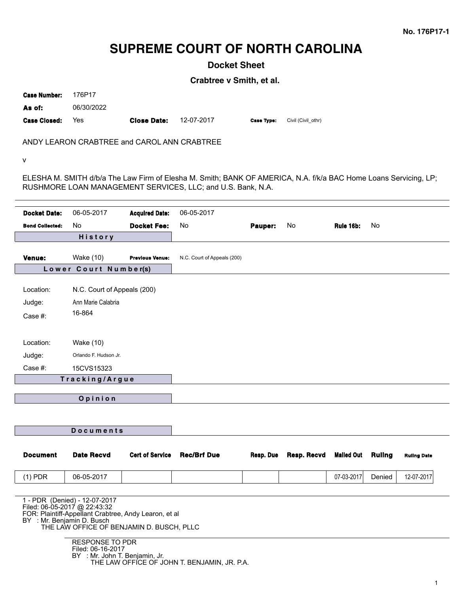# **SUPREME COURT OF NORTH CAROLINA**

**Docket Sheet**

**Crabtree v Smith, et al.**

| <b>Case Number:</b> | 176P17     |                    |            |                   |                    |
|---------------------|------------|--------------------|------------|-------------------|--------------------|
| As of:              | 06/30/2022 |                    |            |                   |                    |
| <b>Case Closed:</b> | Yes        | <b>Close Date:</b> | 12-07-2017 | <b>Case Type:</b> | Civil (Civil othr) |

ANDY LEARON CRABTREE and CAROL ANN CRABTREE

v

ELESHA M. SMITH d/b/a The Law Firm of Elesha M. Smith; BANK OF AMERICA, N.A. f/k/a BAC Home Loans Servicing, LP; RUSHMORE LOAN MANAGEMENT SERVICES, LLC; and U.S. Bank, N.A.

| <b>Docket Date:</b>        | 06-05-2017                                                                            | <b>Acquired Date:</b>  | 06-05-2017                                   |           |             |                   |               |                    |
|----------------------------|---------------------------------------------------------------------------------------|------------------------|----------------------------------------------|-----------|-------------|-------------------|---------------|--------------------|
| <b>Bond Collected:</b>     | No                                                                                    | <b>Docket Fee:</b>     | No                                           | Pauper:   | No          | <b>Rule 16b:</b>  | No            |                    |
|                            | <b>History</b>                                                                        |                        |                                              |           |             |                   |               |                    |
|                            |                                                                                       |                        |                                              |           |             |                   |               |                    |
| Venue:                     | <b>Wake (10)</b><br>Lower Court Number(s)                                             | <b>Previous Venue:</b> | N.C. Court of Appeals (200)                  |           |             |                   |               |                    |
|                            |                                                                                       |                        |                                              |           |             |                   |               |                    |
| Location:                  | N.C. Court of Appeals (200)                                                           |                        |                                              |           |             |                   |               |                    |
| Judge:                     | Ann Marie Calabria                                                                    |                        |                                              |           |             |                   |               |                    |
| Case #:                    | 16-864                                                                                |                        |                                              |           |             |                   |               |                    |
|                            |                                                                                       |                        |                                              |           |             |                   |               |                    |
| Location:                  | Wake (10)                                                                             |                        |                                              |           |             |                   |               |                    |
| Judge:                     | Orlando F. Hudson Jr.                                                                 |                        |                                              |           |             |                   |               |                    |
| Case #:                    | 15CVS15323                                                                            |                        |                                              |           |             |                   |               |                    |
|                            | Tracking/Argue                                                                        |                        |                                              |           |             |                   |               |                    |
|                            |                                                                                       |                        |                                              |           |             |                   |               |                    |
|                            | Opinion                                                                               |                        |                                              |           |             |                   |               |                    |
|                            |                                                                                       |                        |                                              |           |             |                   |               |                    |
|                            | <b>Documents</b>                                                                      |                        |                                              |           |             |                   |               |                    |
|                            |                                                                                       |                        |                                              |           |             |                   |               |                    |
| <b>Document</b>            | <b>Date Recvd</b>                                                                     | <b>Cert of Service</b> | <b>Rec/Brf Due</b>                           | Resp. Due | Resp. Recvd | <b>Mailed Out</b> | <b>Ruling</b> | <b>Ruling Date</b> |
|                            |                                                                                       |                        |                                              |           |             |                   |               |                    |
| $(1)$ PDR                  | 06-05-2017                                                                            |                        |                                              |           |             | 07-03-2017        | Denied        | 12-07-2017         |
|                            | 1 - PDR (Denied) - 12-07-2017                                                         |                        |                                              |           |             |                   |               |                    |
|                            | Filed: 06-05-2017 @ 22:43:32<br>FOR: Plaintiff-Appellant Crabtree, Andy Learon, et al |                        |                                              |           |             |                   |               |                    |
| BY : Mr. Benjamin D. Busch |                                                                                       |                        |                                              |           |             |                   |               |                    |
|                            | THE LAW OFFICE OF BENJAMIN D. BUSCH, PLLC                                             |                        |                                              |           |             |                   |               |                    |
|                            | <b>RESPONSE TO PDR</b><br>Filed: 06-16-2017                                           |                        |                                              |           |             |                   |               |                    |
|                            | BY : Mr. John T. Benjamin, Jr.                                                        |                        | THE LAW OFFICE OF JOHN T. BENJAMIN, JR. P.A. |           |             |                   |               |                    |
|                            |                                                                                       |                        |                                              |           |             |                   |               |                    |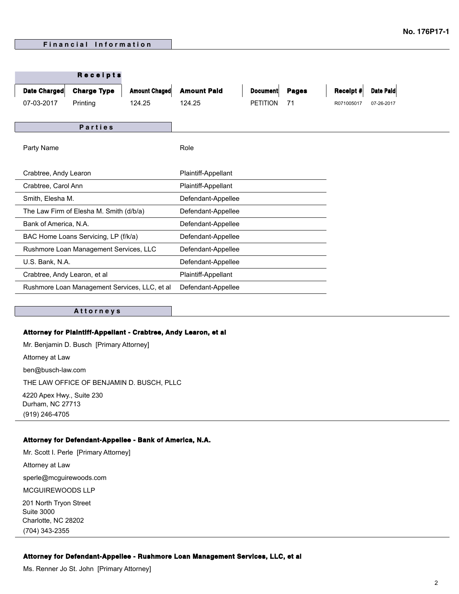|                                               | Receipts           |                      |                     |                 |              |                  |            |
|-----------------------------------------------|--------------------|----------------------|---------------------|-----------------|--------------|------------------|------------|
| Date Charged                                  | <b>Charge Type</b> | <b>Amount Chaged</b> | <b>Amount Paid</b>  | <b>Document</b> | <b>Pages</b> | <b>Receipt #</b> | Date Paid  |
| 07-03-2017                                    | Printing           | 124.25               | 124.25              | <b>PETITION</b> | 71           | R071005017       | 07-26-2017 |
|                                               |                    |                      |                     |                 |              |                  |            |
|                                               | <b>Parties</b>     |                      |                     |                 |              |                  |            |
| Party Name                                    |                    |                      | Role                |                 |              |                  |            |
|                                               |                    |                      |                     |                 |              |                  |            |
| Crabtree, Andy Learon                         |                    |                      | Plaintiff-Appellant |                 |              |                  |            |
| Crabtree, Carol Ann                           |                    |                      | Plaintiff-Appellant |                 |              |                  |            |
| Smith, Elesha M.                              |                    |                      | Defendant-Appellee  |                 |              |                  |            |
| The Law Firm of Elesha M. Smith (d/b/a)       |                    | Defendant-Appellee   |                     |                 |              |                  |            |
| Bank of America, N.A.                         |                    | Defendant-Appellee   |                     |                 |              |                  |            |
| BAC Home Loans Servicing, LP (f/k/a)          |                    | Defendant-Appellee   |                     |                 |              |                  |            |
| Rushmore Loan Management Services, LLC        |                    |                      | Defendant-Appellee  |                 |              |                  |            |
| U.S. Bank, N.A.                               |                    |                      | Defendant-Appellee  |                 |              |                  |            |
| Crabtree, Andy Learon, et al                  |                    |                      | Plaintiff-Appellant |                 |              |                  |            |
| Rushmore Loan Management Services, LLC, et al |                    |                      | Defendant-Appellee  |                 |              |                  |            |
|                                               |                    |                      |                     |                 |              |                  |            |

#### **A t t o r n e y s**

### **Attorney for Plaintiff-Appellant - Crabtree, Andy Learon, et al**

Mr. Benjamin D. Busch [Primary Attorney] Attorney at Law ben@busch-law.com THE LAW OFFICE OF BENJAMIN D. BUSCH, PLLC 4220 Apex Hwy., Suite 230 Durham, NC 27713 (919) 246-4705

#### **Attorney for Defendant-Appellee - Bank of America, N.A.**

Mr. Scott I. Perle [Primary Attorney] Attorney at Law sperle@mcguirewoods.com MCGUIREWOODS LLP 201 North Tryon Street Suite 3000 Charlotte, NC 28202 (704) 343-2355

## **Attorney for Defendant-Appellee - Rushmore Loan Management Services, LLC, et al**

Ms. Renner Jo St. John [Primary Attorney]